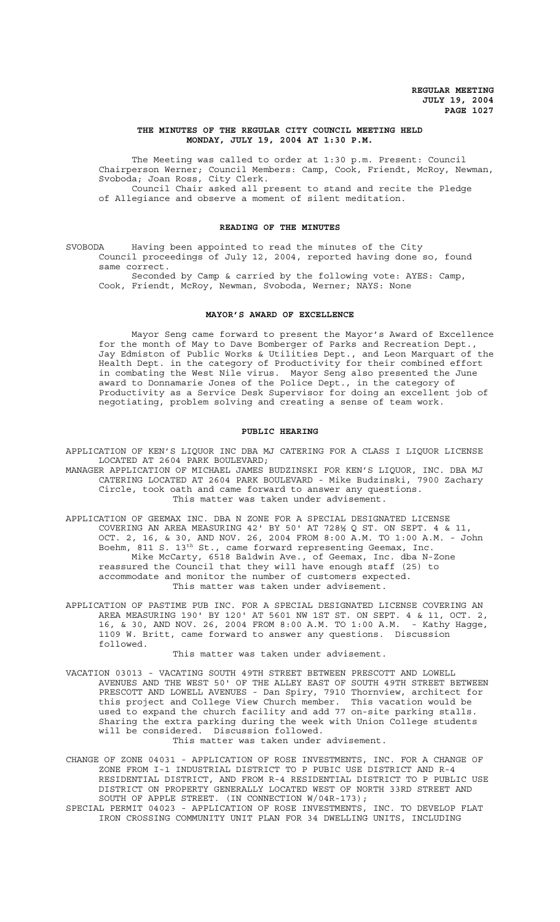# **THE MINUTES OF THE REGULAR CITY COUNCIL MEETING HELD MONDAY, JULY 19, 2004 AT 1:30 P.M.**

The Meeting was called to order at 1:30 p.m. Present: Council Chairperson Werner; Council Members: Camp, Cook, Friendt, McRoy, Newman, Svoboda; Joan Ross, City Clerk. Council Chair asked all present to stand and recite the Pledge of Allegiance and observe a moment of silent meditation.

## **READING OF THE MINUTES**

SVOBODA Having been appointed to read the minutes of the City Council proceedings of July 12, 2004, reported having done so, found same correct.

Seconded by Camp & carried by the following vote: AYES: Camp, Cook, Friendt, McRoy, Newman, Svoboda, Werner; NAYS: None

#### **MAYOR'S AWARD OF EXCELLENCE**

Mayor Seng came forward to present the Mayor's Award of Excellence for the month of May to Dave Bomberger of Parks and Recreation Dept., Jay Edmiston of Public Works & Utilities Dept., and Leon Marquart of the Health Dept. in the category of Productivity for their combined effort in combating the West Nile virus. Mayor Seng also presented the June award to Donnamarie Jones of the Police Dept., in the category of Productivity as a Service Desk Supervisor for doing an excellent job of negotiating, problem solving and creating a sense of team work.

# **PUBLIC HEARING**

APPLICATION OF KEN'S LIQUOR INC DBA MJ CATERING FOR A CLASS I LIQUOR LICENSE LOCATED AT 2604 PARK BOULEVARD;

- MANAGER APPLICATION OF MICHAEL JAMES BUDZINSKI FOR KEN'S LIQUOR, INC. DBA MJ CATERING LOCATED AT 2604 PARK BOULEVARD - Mike Budzinski, 7900 Zachary Circle, took oath and came forward to answer any questions. This matter was taken under advisement.
- APPLICATION OF GEEMAX INC. DBA N ZONE FOR A SPECIAL DESIGNATED LICENSE COVERING AN AREA MEASURING 42' BY 50' AT 728½ Q ST. ON SEPT. 4 & 11, OCT. 2, 16, & 30, AND NOV. 26, 2004 FROM 8:00 A.M. TO 1:00 A.M. - John Boehm, 811 S. 13<sup>th</sup> St., came forward representing Geemax, Inc. Mike McCarty, 6518 Baldwin Ave., of Geemax, Inc. dba N-Zone reassured the Council that they will have enough staff (25) to accommodate and monitor the number of customers expected. This matter was taken under advisement.
- APPLICATION OF PASTIME PUB INC. FOR A SPECIAL DESIGNATED LICENSE COVERING AN AREA MEASURING 190' BY 120' AT 5601 NW 1ST ST. ON SEPT. 4 & 11, OCT. 2, 16, & 30, AND NOV. 26, 2004 FROM 8:00 A.M. TO 1:00 A.M. - Kathy Hagge, 1109 W. Britt, came forward to answer any questions. Discussion followed.

#### This matter was taken under advisement.

VACATION 03013 - VACATING SOUTH 49TH STREET BETWEEN PRESCOTT AND LOWELL AVENUES AND THE WEST 50' OF THE ALLEY EAST OF SOUTH 49TH STREET BETWEEN PRESCOTT AND LOWELL AVENUES - Dan Spiry, 7910 Thornview, architect for this project and College View Church member. This vacation would be used to expand the church facility and add 77 on-site parking stalls. Sharing the extra parking during the week with Union College students will be considered. Discussion followed.

This matter was taken under advisement.

- CHANGE OF ZONE 04031 APPLICATION OF ROSE INVESTMENTS, INC. FOR A CHANGE OF ZONE FROM I-1 INDUSTRIAL DISTRICT TO P PUBIC USE DISTRICT AND R-4 RESIDENTIAL DISTRICT, AND FROM R-4 RESIDENTIAL DISTRICT TO P PUBLIC USE DISTRICT ON PROPERTY GENERALLY LOCATED WEST OF NORTH 33RD STREET AND SOUTH OF APPLE STREET. (IN CONNECTION W/04R-173);
- SPECIAL PERMIT 04023 APPLICATION OF ROSE INVESTMENTS, INC. TO DEVELOP FLAT IRON CROSSING COMMUNITY UNIT PLAN FOR 34 DWELLING UNITS, INCLUDING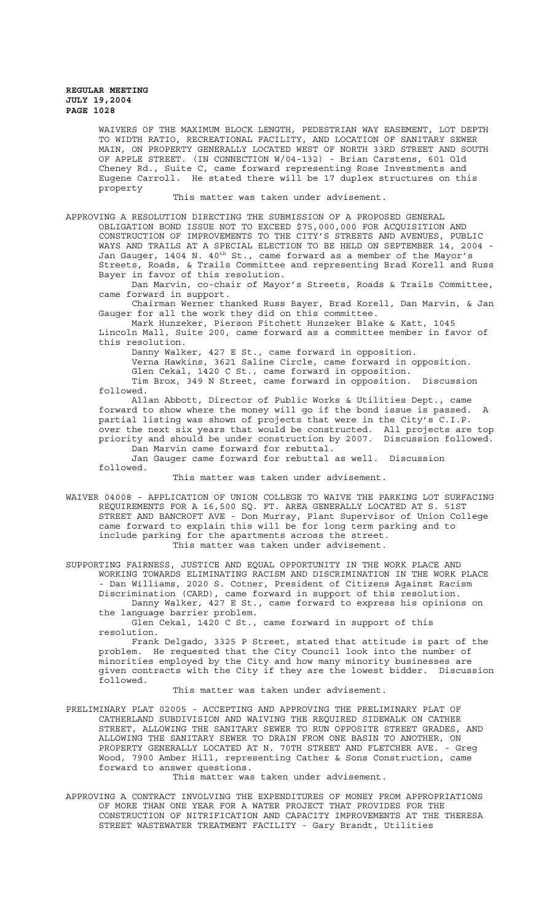WAIVERS OF THE MAXIMUM BLOCK LENGTH, PEDESTRIAN WAY EASEMENT, LOT DEPTH TO WIDTH RATIO, RECREATIONAL FACILITY, AND LOCATION OF SANITARY SEWER MAIN, ON PROPERTY GENERALLY LOCATED WEST OF NORTH 33RD STREET AND SOUTH OF APPLE STREET. (IN CONNECTION W/04-132) - Brian Carstens, 601 Old Cheney Rd., Suite C, came forward representing Rose Investments and Eugene Carroll. He stated there will be 17 duplex structures on this property

This matter was taken under advisement.

APPROVING A RESOLUTION DIRECTING THE SUBMISSION OF A PROPOSED GENERAL OBLIGATION BOND ISSUE NOT TO EXCEED \$75,000,000 FOR ACQUISITION AND CONSTRUCTION OF IMPROVEMENTS TO THE CITY'S STREETS AND AVENUES, PUBLIC WAYS AND TRAILS AT A SPECIAL ELECTION TO BE HELD ON SEPTEMBER 14, 2004 Jan Gauger, 1404 N. 40th St., came forward as a member of the Mayor's Streets, Roads, & Trails Committee and representing Brad Korell and Russ Bayer in favor of this resolution.

Dan Marvin, co-chair of Mayor's Streets, Roads & Trails Committee, came forward in support.

Chairman Werner thanked Russ Bayer, Brad Korell, Dan Marvin, & Jan Gauger for all the work they did on this committee.

Mark Hunzeker, Pierson Fitchett Hunzeker Blake & Katt, 1045 Lincoln Mall, Suite 200, came forward as a committee member in favor of this resolution.

Danny Walker, 427 E St., came forward in opposition.

Verna Hawkins, 3621 Saline Circle, came forward in opposition.

Glen Cekal, 1420 C St., came forward in opposition.

Tim Brox, 349 N Street, came forward in opposition. Discussion followed.

Allan Abbott, Director of Public Works & Utilities Dept., came forward to show where the money will go if the bond issue is passed. A partial listing was shown of projects that were in the City's C.I.P. over the next six years that would be constructed. All projects are top priority and should be under construction by 2007. Discussion followed. Dan Marvin came forward for rebuttal.

Jan Gauger came forward for rebuttal as well. Discussion

followed.

# This matter was taken under advisement.

WAIVER 04008 - APPLICATION OF UNION COLLEGE TO WAIVE THE PARKING LOT SURFACING REQUIREMENTS FOR A 16,500 SQ. FT. AREA GENERALLY LOCATED AT S. 51ST STREET AND BANCROFT AVE - Don Murray, Plant Supervisor of Union College came forward to explain this will be for long term parking and to include parking for the apartments across the street. This matter was taken under advisement.

SUPPORTING FAIRNESS, JUSTICE AND EQUAL OPPORTUNITY IN THE WORK PLACE AND WORKING TOWARDS ELIMINATING RACISM AND DISCRIMINATION IN THE WORK PLACE - Dan Williams, 2020 S. Cotner, President of Citizens Against Racism Discrimination (CARD), came forward in support of this resolution. Danny Walker, 427 E St., came forward to express his opinions on the language barrier problem.

Glen Cekal, 1420 C St., came forward in support of this resolution.

Frank Delgado, 3325 P Street, stated that attitude is part of the problem. He requested that the City Council look into the number of minorities employed by the City and how many minority businesses are given contracts with the City if they are the lowest bidder. Discussion followed.

This matter was taken under advisement.

PRELIMINARY PLAT 02005 - ACCEPTING AND APPROVING THE PRELIMINARY PLAT OF CATHERLAND SUBDIVISION AND WAIVING THE REQUIRED SIDEWALK ON CATHER STREET, ALLOWING THE SANITARY SEWER TO RUN OPPOSITE STREET GRADES, AND ALLOWING THE SANITARY SEWER TO DRAIN FROM ONE BASIN TO ANOTHER, ON PROPERTY GENERALLY LOCATED AT N. 70TH STREET AND FLETCHER AVE. - Greg Wood, 7900 Amber Hill, representing Cather & Sons Construction, came forward to answer questions.

This matter was taken under advisement.

APPROVING A CONTRACT INVOLVING THE EXPENDITURES OF MONEY FROM APPROPRIATIONS OF MORE THAN ONE YEAR FOR A WATER PROJECT THAT PROVIDES FOR THE CONSTRUCTION OF NITRIFICATION AND CAPACITY IMPROVEMENTS AT THE THERESA STREET WASTEWATER TREATMENT FACILITY - Gary Brandt, Utilities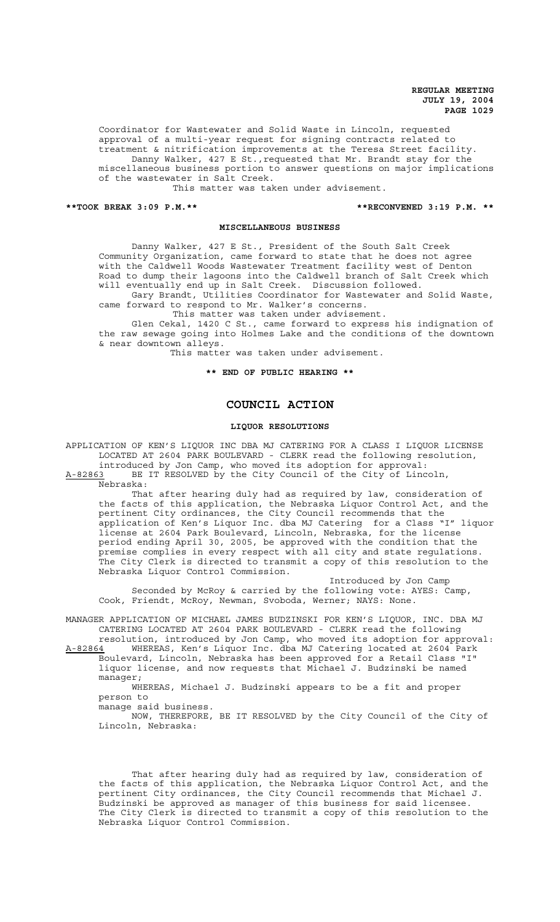Coordinator for Wastewater and Solid Waste in Lincoln, requested approval of a multi-year request for signing contracts related to treatment & nitrification improvements at the Teresa Street facility. Danny Walker, 427 E St., requested that Mr. Brandt stay for the miscellaneous business portion to answer questions on major implications of the wastewater in Salt Creek.

This matter was taken under advisement.

#### **\*\*TOOK BREAK 3:09 P.M.\*\* \*\*RECONVENED 3:19 P.M. \*\***

### **MISCELLANEOUS BUSINESS**

Danny Walker, 427 E St., President of the South Salt Creek Community Organization, came forward to state that he does not agree with the Caldwell Woods Wastewater Treatment facility west of Denton Road to dump their lagoons into the Caldwell branch of Salt Creek which will eventually end up in Salt Creek. Discussion followed.

Gary Brandt, Utilities Coordinator for Wastewater and Solid Waste, came forward to respond to Mr. Walker's concerns.

This matter was taken under advisement.

Glen Cekal, 1420 C St., came forward to express his indignation of the raw sewage going into Holmes Lake and the conditions of the downtown & near downtown alleys.

This matter was taken under advisement.

**\*\* END OF PUBLIC HEARING \*\***

# **COUNCIL ACTION**

## **LIQUOR RESOLUTIONS**

APPLICATION OF KEN'S LIQUOR INC DBA MJ CATERING FOR A CLASS I LIQUOR LICENSE LOCATED AT 2604 PARK BOULEVARD - CLERK read the following resolution, introduced by Jon Camp, who moved its adoption for approval: A-82863 BE IT RESOLVED by the City Council of the City of Lincoln,

Nebraska:

That after hearing duly had as required by law, consideration of the facts of this application, the Nebraska Liquor Control Act, and the pertinent City ordinances, the City Council recommends that the application of Ken's Liquor Inc. dba MJ Catering for a Class "I" liquor license at 2604 Park Boulevard, Lincoln, Nebraska, for the license period ending April 30, 2005, be approved with the condition that the premise complies in every respect with all city and state regulations. The City Clerk is directed to transmit a copy of this resolution to the Nebraska Liquor Control Commission.

Introduced by Jon Camp Seconded by McRoy & carried by the following vote: AYES: Camp, Cook, Friendt, McRoy, Newman, Svoboda, Werner; NAYS: None.

MANAGER APPLICATION OF MICHAEL JAMES BUDZINSKI FOR KEN'S LIQUOR, INC. DBA MJ CATERING LOCATED AT 2604 PARK BOULEVARD - CLERK read the following resolution, introduced by Jon Camp, who moved its adoption for approval:

A-82864 MHEREAS, Ken's Liquor Inc. dba MJ Catering located at 2604 Park Boulevard, Lincoln, Nebraska has been approved for a Retail Class "I" liquor license, and now requests that Michael J. Budzinski be named manager;

WHEREAS, Michael J. Budzinski appears to be a fit and proper person to

manage said business.

NOW, THEREFORE, BE IT RESOLVED by the City Council of the City of Lincoln, Nebraska:

That after hearing duly had as required by law, consideration of the facts of this application, the Nebraska Liquor Control Act, and the pertinent City ordinances, the City Council recommends that Michael J. Budzinski be approved as manager of this business for said licensee. The City Clerk is directed to transmit a copy of this resolution to the Nebraska Liquor Control Commission.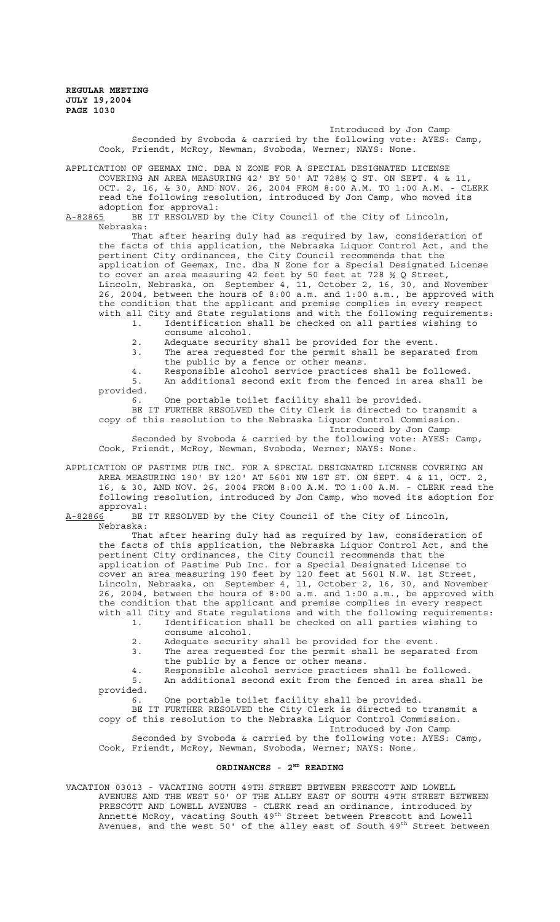> Introduced by Jon Camp Seconded by Svoboda & carried by the following vote: AYES: Camp, Cook, Friendt, McRoy, Newman, Svoboda, Werner; NAYS: None.

APPLICATION OF GEEMAX INC. DBA N ZONE FOR A SPECIAL DESIGNATED LICENSE COVERING AN AREA MEASURING 42' BY 50' AT 728½ Q ST. ON SEPT. 4 & 11, OCT. 2, 16, & 30, AND NOV. 26, 2004 FROM 8:00 A.M. TO 1:00 A.M. - CLERK read the following resolution, introduced by Jon Camp, who moved its adoption for approval:<br>A-82865 BE IT RESOLVED b

BE IT RESOLVED by the City Council of the City of Lincoln, Nebraska:

That after hearing duly had as required by law, consideration of the facts of this application, the Nebraska Liquor Control Act, and the pertinent City ordinances, the City Council recommends that the application of Geemax, Inc. dba N Zone for a Special Designated License to cover an area measuring 42 feet by 50 feet at 728 ½ Q Street, Lincoln, Nebraska, on September 4, 11, October 2, 16, 30, and November 26, 2004, between the hours of 8:00 a.m. and 1:00 a.m., be approved with the condition that the applicant and premise complies in every respect with all City and State regulations and with the following requirements:

- 1. Identification shall be checked on all parties wishing to consume alcohol.
	- 2. Adequate security shall be provided for the event.
	- 3. The area requested for the permit shall be separated from the public by a fence or other means.
	- 4. Responsible alcohol service practices shall be followed.<br>5. An additional second exit from the fenced in area shall An additional second exit from the fenced in area shall be

provided.

6. One portable toilet facility shall be provided.

BE IT FURTHER RESOLVED the City Clerk is directed to transmit a copy of this resolution to the Nebraska Liquor Control Commission.

Introduced by Jon Camp

Seconded by Svoboda & carried by the following vote: AYES: Camp, Cook, Friendt, McRoy, Newman, Svoboda, Werner; NAYS: None.

APPLICATION OF PASTIME PUB INC. FOR A SPECIAL DESIGNATED LICENSE COVERING AN AREA MEASURING 190' BY 120' AT 5601 NW 1ST ST. ON SEPT. 4 & 11, OCT. 2, 16, & 30, AND NOV. 26, 2004 FROM 8:00 A.M. TO 1:00 A.M. - CLERK read the following resolution, introduced by Jon Camp, who moved its adoption for approval:

A-82866 BE IT RESOLVED by the City Council of the City of Lincoln, Nebraska:

That after hearing duly had as required by law, consideration of the facts of this application, the Nebraska Liquor Control Act, and the pertinent City ordinances, the City Council recommends that the application of Pastime Pub Inc. for a Special Designated License to cover an area measuring 190 feet by 120 feet at 5601 N.W. 1st Street, Lincoln, Nebraska, on September 4, 11, October 2, 16, 30, and November 26, 2004, between the hours of 8:00 a.m. and 1:00 a.m., be approved with the condition that the applicant and premise complies in every respect with all City and State regulations and with the following requirements:

1. Identification shall be checked on all parties wishing to consume alcohol.

- 2. Adequate security shall be provided for the event.
- 3. The area requested for the permit shall be separated from the public by a fence or other means.
- 4. Responsible alcohol service practices shall be followed.

5. An additional second exit from the fenced in area shall be provided.

6. One portable toilet facility shall be provided.

BE IT FURTHER RESOLVED the City Clerk is directed to transmit a copy of this resolution to the Nebraska Liquor Control Commission. Introduced by Jon Camp

Seconded by Svoboda & carried by the following vote: AYES: Camp, Cook, Friendt, McRoy, Newman, Svoboda, Werner; NAYS: None.

# **ORDINANCES - 2ND READING**

VACATION 03013 - VACATING SOUTH 49TH STREET BETWEEN PRESCOTT AND LOWELL AVENUES AND THE WEST 50' OF THE ALLEY EAST OF SOUTH 49TH STREET BETWEEN PRESCOTT AND LOWELL AVENUES - CLERK read an ordinance, introduced by Annette McRoy, vacating South 49<sup>th</sup> Street between Prescott and Lowell Avenues, and the west 50' of the alley east of South  $49^{\rm th}$  Street between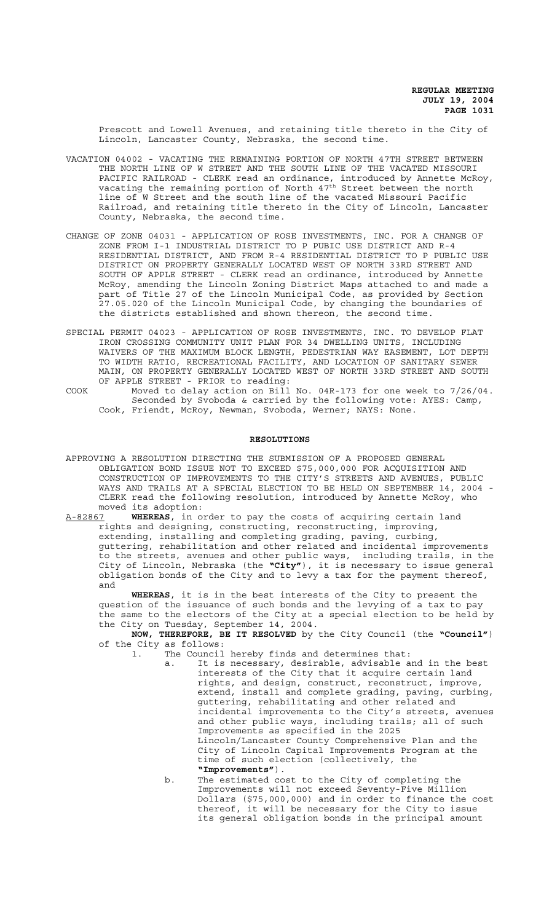Prescott and Lowell Avenues, and retaining title thereto in the City of Lincoln, Lancaster County, Nebraska, the second time.

- VACATION 04002 VACATING THE REMAINING PORTION OF NORTH 47TH STREET BETWEEN THE NORTH LINE OF W STREET AND THE SOUTH LINE OF THE VACATED MISSOURI PACIFIC RAILROAD - CLERK read an ordinance, introduced by Annette McRoy, vacating the remaining portion of North 47<sup>th</sup> Street between the north line of W Street and the south line of the vacated Missouri Pacific Railroad, and retaining title thereto in the City of Lincoln, Lancaster County, Nebraska, the second time.
- CHANGE OF ZONE 04031 APPLICATION OF ROSE INVESTMENTS, INC. FOR A CHANGE OF ZONE FROM I-1 INDUSTRIAL DISTRICT TO P PUBIC USE DISTRICT AND R-4 RESIDENTIAL DISTRICT, AND FROM R-4 RESIDENTIAL DISTRICT TO P PUBLIC USE DISTRICT ON PROPERTY GENERALLY LOCATED WEST OF NORTH 33RD STREET AND SOUTH OF APPLE STREET - CLERK read an ordinance, introduced by Annette McRoy, amending the Lincoln Zoning District Maps attached to and made a part of Title 27 of the Lincoln Municipal Code, as provided by Section 27.05.020 of the Lincoln Municipal Code, by changing the boundaries of the districts established and shown thereon, the second time.
- SPECIAL PERMIT 04023 APPLICATION OF ROSE INVESTMENTS, INC. TO DEVELOP FLAT IRON CROSSING COMMUNITY UNIT PLAN FOR 34 DWELLING UNITS, INCLUDING WAIVERS OF THE MAXIMUM BLOCK LENGTH, PEDESTRIAN WAY EASEMENT, LOT DEPTH TO WIDTH RATIO, RECREATIONAL FACILITY, AND LOCATION OF SANITARY SEWER MAIN, ON PROPERTY GENERALLY LOCATED WEST OF NORTH 33RD STREET AND SOUTH OF APPLE STREET - PRIOR to reading:
- COOK Moved to delay action on Bill No. 04R-173 for one week to 7/26/04. Seconded by Svoboda & carried by the following vote: AYES: Camp, Cook, Friendt, McRoy, Newman, Svoboda, Werner; NAYS: None.

#### **RESOLUTIONS**

APPROVING A RESOLUTION DIRECTING THE SUBMISSION OF A PROPOSED GENERAL OBLIGATION BOND ISSUE NOT TO EXCEED \$75,000,000 FOR ACQUISITION AND CONSTRUCTION OF IMPROVEMENTS TO THE CITY'S STREETS AND AVENUES, PUBLIC WAYS AND TRAILS AT A SPECIAL ELECTION TO BE HELD ON SEPTEMBER 14, 2004 - CLERK read the following resolution, introduced by Annette McRoy, who moved its adoption:

A-82867 **WHEREAS**, in order to pay the costs of acquiring certain land rights and designing, constructing, reconstructing, improving, extending, installing and completing grading, paving, curbing, guttering, rehabilitation and other related and incidental improvements to the streets, avenues and other public ways, including trails, in the City of Lincoln, Nebraska (the **"City"**), it is necessary to issue general obligation bonds of the City and to levy a tax for the payment thereof, and

**WHEREAS**, it is in the best interests of the City to present the question of the issuance of such bonds and the levying of a tax to pay the same to the electors of the City at a special election to be held by the City on Tuesday, September 14, 2004.

**NOW, THEREFORE, BE IT RESOLVED** by the City Council (the **"Council"**) of the City as follows:

- 1. The Council hereby finds and determines that:
	- a. It is necessary, desirable, advisable and in the best interests of the City that it acquire certain land rights, and design, construct, reconstruct, improve, extend, install and complete grading, paving, curbing, guttering, rehabilitating and other related and incidental improvements to the City's streets, avenues and other public ways, including trails; all of such Improvements as specified in the 2025 Lincoln/Lancaster County Comprehensive Plan and the City of Lincoln Capital Improvements Program at the time of such election (collectively, the **"Improvements"**).
	- b. The estimated cost to the City of completing the Improvements will not exceed Seventy-Five Million Dollars (\$75,000,000) and in order to finance the cost thereof, it will be necessary for the City to issue its general obligation bonds in the principal amount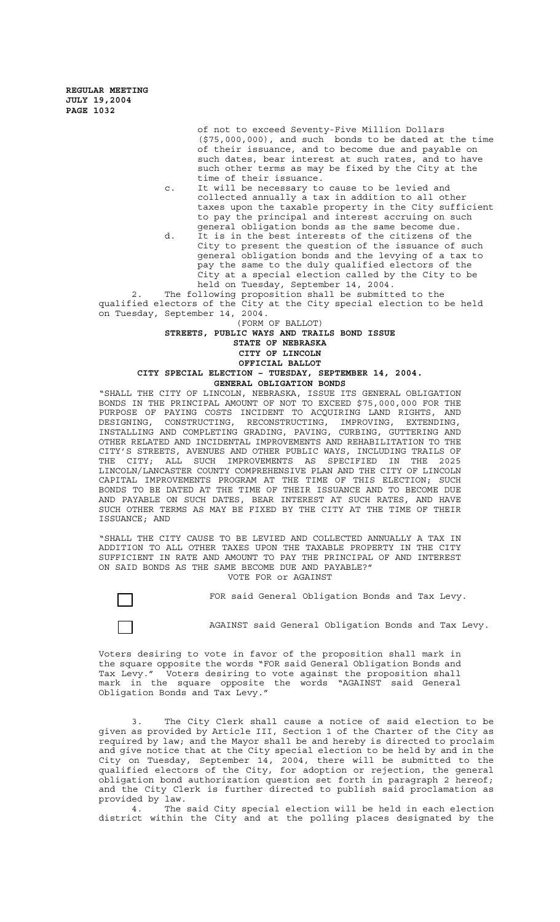> of not to exceed Seventy-Five Million Dollars (\$75,000,000), and such bonds to be dated at the time of their issuance, and to become due and payable on such dates, bear interest at such rates, and to have such other terms as may be fixed by the City at the time of their issuance.

c. It will be necessary to cause to be levied and collected annually a tax in addition to all other taxes upon the taxable property in the City sufficient to pay the principal and interest accruing on such general obligation bonds as the same become due.

d. It is in the best interests of the citizens of the City to present the question of the issuance of such general obligation bonds and the levying of a tax to pay the same to the duly qualified electors of the City at a special election called by the City to be held on Tuesday, September 14, 2004.

2. The following proposition shall be submitted to the qualified electors of the City at the City special election to be held on Tuesday, September 14, 2004.

# (FORM OF BALLOT) **STREETS, PUBLIC WAYS AND TRAILS BOND ISSUE**

### **STATE OF NEBRASKA CITY OF LINCOLN**

# **OFFICIAL BALLOT**

**CITY SPECIAL ELECTION – TUESDAY, SEPTEMBER 14, 2004. GENERAL OBLIGATION BONDS**

"SHALL THE CITY OF LINCOLN, NEBRASKA, ISSUE ITS GENERAL OBLIGATION BONDS IN THE PRINCIPAL AMOUNT OF NOT TO EXCEED \$75,000,000 FOR THE PURPOSE OF PAYING COSTS INCIDENT TO ACQUIRING LAND RIGHTS, AND DESIGNING, CONSTRUCTING, RECONSTRUCTING, IMPROVING, EXTENDING, INSTALLING AND COMPLETING GRADING, PAVING, CURBING, GUTTERING AND OTHER RELATED AND INCIDENTAL IMPROVEMENTS AND REHABILITATION TO THE CITY'S STREETS, AVENUES AND OTHER PUBLIC WAYS, INCLUDING TRAILS OF THE CITY; ALL SUCH IMPROVEMENTS AS SPECIFIED IN THE 2025 LINCOLN/LANCASTER COUNTY COMPREHENSIVE PLAN AND THE CITY OF LINCOLN CAPITAL IMPROVEMENTS PROGRAM AT THE TIME OF THIS ELECTION; SUCH BONDS TO BE DATED AT THE TIME OF THEIR ISSUANCE AND TO BECOME DUE AND PAYABLE ON SUCH DATES, BEAR INTEREST AT SUCH RATES, AND HAVE SUCH OTHER TERMS AS MAY BE FIXED BY THE CITY AT THE TIME OF THEIR ISSUANCE; AND

"SHALL THE CITY CAUSE TO BE LEVIED AND COLLECTED ANNUALLY A TAX IN ADDITION TO ALL OTHER TAXES UPON THE TAXABLE PROPERTY IN THE CITY SUFFICIENT IN RATE AND AMOUNT TO PAY THE PRINCIPAL OF AND INTEREST ON SAID BONDS AS THE SAME BECOME DUE AND PAYABLE?" VOTE FOR or AGAINST

FOR said General Obligation Bonds and Tax Levy.

AGAINST said General Obligation Bonds and Tax Levy.

Voters desiring to vote in favor of the proposition shall mark in the square opposite the words "FOR said General Obligation Bonds and Tax Levy." Voters desiring to vote against the proposition shall mark in the square opposite the words "AGAINST said General Obligation Bonds and Tax Levy."

3. The City Clerk shall cause a notice of said election to be given as provided by Article III, Section 1 of the Charter of the City as required by law; and the Mayor shall be and hereby is directed to proclaim and give notice that at the City special election to be held by and in the City on Tuesday, September 14, 2004, there will be submitted to the qualified electors of the City, for adoption or rejection, the general obligation bond authorization question set forth in paragraph 2 hereof; and the City Clerk is further directed to publish said proclamation as provided by law.

4. The said City special election will be held in each election district within the City and at the polling places designated by the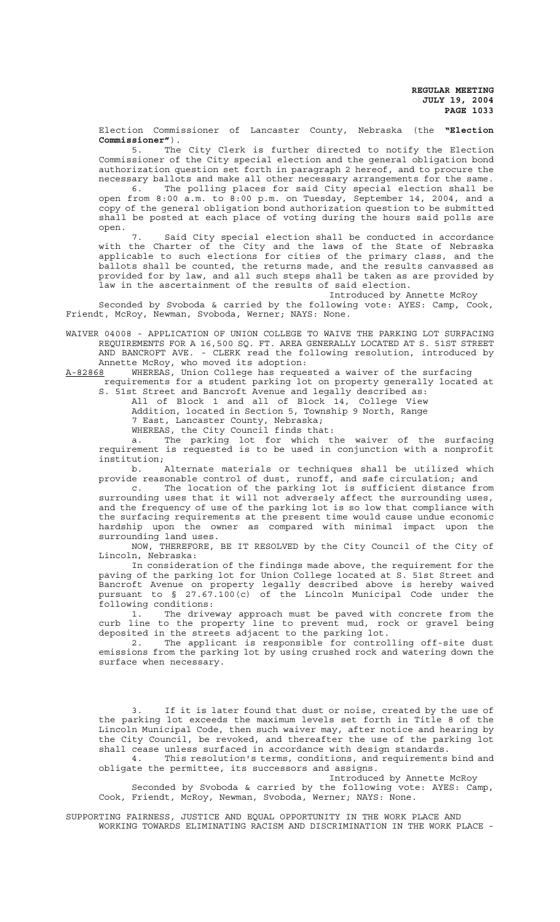Election Commissioner of Lancaster County, Nebraska (the **"Election Commissioner"**).

5. The City Clerk is further directed to notify the Election Commissioner of the City special election and the general obligation bond authorization question set forth in paragraph 2 hereof, and to procure the necessary ballots and make all other necessary arrangements for the same.

6. The polling places for said City special election shall be open from 8:00 a.m. to 8:00 p.m. on Tuesday, September 14, 2004, and a copy of the general obligation bond authorization question to be submitted shall be posted at each place of voting during the hours said polls are open.

7. Said City special election shall be conducted in accordance with the Charter of the City and the laws of the State of Nebraska applicable to such elections for cities of the primary class, and the ballots shall be counted, the returns made, and the results canvassed as provided for by law, and all such steps shall be taken as are provided by law in the ascertainment of the results of said election.

Introduced by Annette McRoy

Seconded by Svoboda & carried by the following vote: AYES: Camp, Cook, Friendt, McRoy, Newman, Svoboda, Werner; NAYS: None.

WAIVER 04008 - APPLICATION OF UNION COLLEGE TO WAIVE THE PARKING LOT SURFACING REQUIREMENTS FOR A 16,500 SQ. FT. AREA GENERALLY LOCATED AT S. 51ST STREET AND BANCROFT AVE. - CLERK read the following resolution, introduced by Annette McRoy, who moved its adoption:

A-82868 MHEREAS, Union College has requested a waiver of the surfacing

 requirements for a student parking lot on property generally located at S. 51st Street and Bancroft Avenue and legally described as:

All of Block 1 and all of Block 14, College View

Addition, located in Section 5, Township 9 North, Range

7 East, Lancaster County, Nebraska;

WHEREAS, the City Council finds that:

a. The parking lot for which the waiver of the surfacing requirement is requested is to be used in conjunction with a nonprofit institution;

b. Alternate materials or techniques shall be utilized which provide reasonable control of dust, runoff, and safe circulation; and

c. The location of the parking lot is sufficient distance from surrounding uses that it will not adversely affect the surrounding uses, and the frequency of use of the parking lot is so low that compliance with the surfacing requirements at the present time would cause undue economic hardship upon the owner as compared with minimal impact upon the surrounding land uses.

NOW, THEREFORE, BE IT RESOLVED by the City Council of the City of Lincoln, Nebraska:

In consideration of the findings made above, the requirement for the paving of the parking lot for Union College located at S. 51st Street and Bancroft Avenue on property legally described above is hereby waived pursuant to § 27.67.100(c) of the Lincoln Municipal Code under the following conditions:

1. The driveway approach must be paved with concrete from the curb line to the property line to prevent mud, rock or gravel being deposited in the streets adjacent to the parking lot.

2. The applicant is responsible for controlling off-site dust emissions from the parking lot by using crushed rock and watering down the surface when necessary.

3. If it is later found that dust or noise, created by the use of the parking lot exceeds the maximum levels set forth in Title 8 of the Lincoln Municipal Code, then such waiver may, after notice and hearing by the City Council, be revoked, and thereafter the use of the parking lot shall cease unless surfaced in accordance with design standards.

4. This resolution's terms, conditions, and requirements bind and obligate the permittee, its successors and assigns.

Introduced by Annette McRoy

Seconded by Svoboda & carried by the following vote: AYES: Camp, Cook, Friendt, McRoy, Newman, Svoboda, Werner; NAYS: None.

SUPPORTING FAIRNESS, JUSTICE AND EQUAL OPPORTUNITY IN THE WORK PLACE AND WORKING TOWARDS ELIMINATING RACISM AND DISCRIMINATION IN THE WORK PLACE -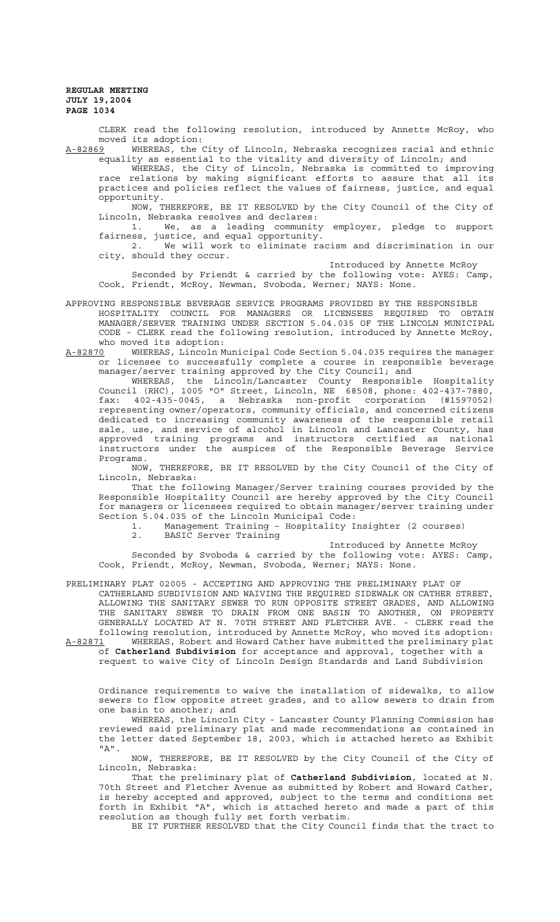CLERK read the following resolution, introduced by Annette McRoy, who moved its adoption:

A-82869 WHEREAS, the City of Lincoln, Nebraska recognizes racial and ethnic equality as essential to the vitality and diversity of Lincoln; and

WHEREAS, the City of Lincoln, Nebraska is committed to improving race relations by making significant efforts to assure that all its practices and policies reflect the values of fairness, justice, and equal opportunity.

NOW, THEREFORE, BE IT RESOLVED by the City Council of the City of Lincoln, Nebraska resolves and declares:

1. We, as a leading community employer, pledge to support fairness, justice, and equal opportunity.

2. We will work to eliminate racism and discrimination in our city, should they occur.

Introduced by Annette McRoy

Seconded by Friendt & carried by the following vote: AYES: Camp, Cook, Friendt, McRoy, Newman, Svoboda, Werner; NAYS: None.

- APPROVING RESPONSIBLE BEVERAGE SERVICE PROGRAMS PROVIDED BY THE RESPONSIBLE HOSPITALITY COUNCIL FOR MANAGERS OR LICENSEES REQUIRED TO OBTAIN MANAGER/SERVER TRAINING UNDER SECTION 5.04.035 OF THE LINCOLN MUNICIPAL CODE - CLERK read the following resolution, introduced by Annette McRoy, who moved its adoption:
- A-82870 WHEREAS, Lincoln Municipal Code Section 5.04.035 requires the manager or licensee to successfully complete a course in responsible beverage manager/server training approved by the City Council; and

WHEREAS, the Lincoln/Lancaster County Responsible Hospitality Council (RHC), 1005 "O" Street, Lincoln, NE 68508, phone: 402-437-7880, fax: 402-435-0045, a Nebraska non-profit corporation (#1597052) representing owner/operators, community officials, and concerned citizens dedicated to increasing community awareness of the responsible retail sale, use, and service of alcohol in Lincoln and Lancaster County, has approved training programs and instructors certified as national instructors under the auspices of the Responsible Beverage Service Programs.

NOW, THEREFORE, BE IT RESOLVED by the City Council of the City of Lincoln, Nebraska:

That the following Manager/Server training courses provided by the Responsible Hospitality Council are hereby approved by the City Council for managers or licensees required to obtain manager/server training under Section 5.04.035 of the Lincoln Municipal Code:

1. Management Training – Hospitality Insighter (2 courses) 2. BASIC Server Training

Introduced by Annette McRoy

Seconded by Svoboda & carried by the following vote: AYES: Camp, Cook, Friendt, McRoy, Newman, Svoboda, Werner; NAYS: None.

PRELIMINARY PLAT 02005 - ACCEPTING AND APPROVING THE PRELIMINARY PLAT OF CATHERLAND SUBDIVISION AND WAIVING THE REQUIRED SIDEWALK ON CATHER STREET, ALLOWING THE SANITARY SEWER TO RUN OPPOSITE STREET GRADES, AND ALLOWING THE SANITARY SEWER TO DRAIN FROM ONE BASIN TO ANOTHER, ON PROPERTY GENERALLY LOCATED AT N. 70TH STREET AND FLETCHER AVE. - CLERK read the following resolution, introduced by Annette McRoy, who moved its adoption:

A-82871 WHEREAS, Robert and Howard Cather have submitted the preliminary plat of **Catherland Subdivision** for acceptance and approval, together with a request to waive City of Lincoln Design Standards and Land Subdivision

Ordinance requirements to waive the installation of sidewalks, to allow sewers to flow opposite street grades, and to allow sewers to drain from one basin to another; and

WHEREAS, the Lincoln City - Lancaster County Planning Commission has reviewed said preliminary plat and made recommendations as contained in the letter dated September 18, 2003, which is attached hereto as Exhibit "A".

NOW, THEREFORE, BE IT RESOLVED by the City Council of the City of Lincoln, Nebraska:

That the preliminary plat of **Catherland Subdivision**, located at N. 70th Street and Fletcher Avenue as submitted by Robert and Howard Cather, is hereby accepted and approved, subject to the terms and conditions set forth in Exhibit "A", which is attached hereto and made a part of this resolution as though fully set forth verbatim.

BE IT FURTHER RESOLVED that the City Council finds that the tract to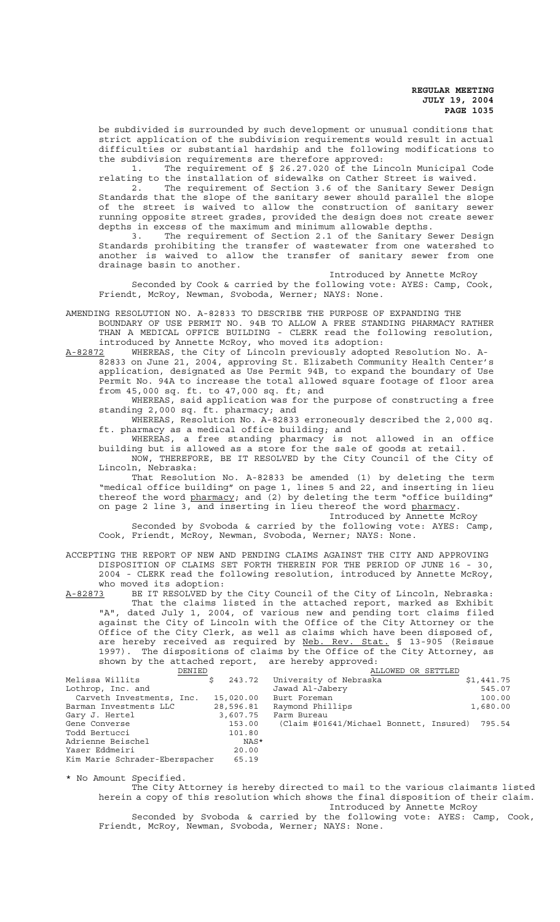be subdivided is surrounded by such development or unusual conditions that strict application of the subdivision requirements would result in actual difficulties or substantial hardship and the following modifications to the subdivision requirements are therefore approved:

1. The requirement of § 26.27.020 of the Lincoln Municipal Code relating to the installation of sidewalks on Cather Street is waived.

2. The requirement of Section 3.6 of the Sanitary Sewer Design Standards that the slope of the sanitary sewer should parallel the slope of the street is waived to allow the construction of sanitary sewer running opposite street grades, provided the design does not create sewer depths in excess of the maximum and minimum allowable depths.

3. The requirement of Section 2.1 of the Sanitary Sewer Design Standards prohibiting the transfer of wastewater from one watershed to another is waived to allow the transfer of sanitary sewer from one drainage basin to another.

Introduced by Annette McRoy

Seconded by Cook & carried by the following vote: AYES: Camp, Cook, Friendt, McRoy, Newman, Svoboda, Werner; NAYS: None.

AMENDING RESOLUTION NO. A-82833 TO DESCRIBE THE PURPOSE OF EXPANDING THE BOUNDARY OF USE PERMIT NO. 94B TO ALLOW A FREE STANDING PHARMACY RATHER THAN A MEDICAL OFFICE BUILDING - CLERK read the following resolution, introduced by Annette McRoy, who moved its adoption:

A-82872 WHEREAS, the City of Lincoln previously adopted Resolution No. A-82833 on June 21, 2004, approving St. Elizabeth Community Health Center's application, designated as Use Permit 94B, to expand the boundary of Use Permit No. 94A to increase the total allowed square footage of floor area from 45,000 sq. ft. to 47,000 sq. ft; and

WHEREAS, said application was for the purpose of constructing a free standing 2,000 sq. ft. pharmacy; and

WHEREAS, Resolution No. A-82833 erroneously described the 2,000 sq. ft. pharmacy as a medical office building; and

WHEREAS, a free standing pharmacy is not allowed in an office building but is allowed as a store for the sale of goods at retail. NOW, THEREFORE, BE IT RESOLVED by the City Council of the City of

Lincoln, Nebraska: That Resolution No. A-82833 be amended (1) by deleting the term

"medical office building" on page 1, lines 5 and 22, and inserting in lieu thereof the word pharmacy; and (2) by deleting the term "office building" on page 2 line 3, and inserting in lieu thereof the word pharmacy.

Introduced by Annette McRoy

Seconded by Svoboda & carried by the following vote: AYES: Camp, Cook, Friendt, McRoy, Newman, Svoboda, Werner; NAYS: None.

ACCEPTING THE REPORT OF NEW AND PENDING CLAIMS AGAINST THE CITY AND APPROVING DISPOSITION OF CLAIMS SET FORTH THEREIN FOR THE PERIOD OF JUNE 16 - 30, 2004 - CLERK read the following resolution, introduced by Annette McRoy,

who moved its adoption:<br>A-82873 BE IT RESOLVED by A-82873 BE IT RESOLVED by the City Council of the City of Lincoln, Nebraska: That the claims listed in the attached report, marked as Exhibit "A", dated July 1, 2004, of various new and pending tort claims filed against the City of Lincoln with the Office of the City Attorney or the Office of the City Clerk, as well as claims which have been disposed of, are hereby received as required by Neb. Rev. Stat. § 13-905 (Reissue 1997). The dispositions of claims by the Office of the City Attorney, as shown by the attached report, are hereby approved:

| DENIED                         |           | ALLOWED OR SETTLED                             |            |
|--------------------------------|-----------|------------------------------------------------|------------|
| Melissa Willits                | 243.72    | University of Nebraska                         | \$1,441.75 |
| Lothrop, Inc. and              |           | Jawad Al-Jabery                                | 545.07     |
| Carveth Investments, Inc.      | 15,020.00 | Burt Foreman                                   | 100.00     |
| Barman Investments LLC         | 28,596.81 | Raymond Phillips                               | 1,680.00   |
| Gary J. Hertel                 | 3,607.75  | Farm Bureau                                    |            |
| Gene Converse                  | 153.00    | (Claim #01641/Michael Bonnett, Insured) 795.54 |            |
| Todd Bertucci                  | 101.80    |                                                |            |
| Adrienne Beischel              | NAS*      |                                                |            |
| Yaser Eddmeiri                 | 20.00     |                                                |            |
| Kim Marie Schrader-Eberspacher | 65.19     |                                                |            |

\* No Amount Specified.

The City Attorney is hereby directed to mail to the various claimants listed herein a copy of this resolution which shows the final disposition of their claim. Introduced by Annette McRoy

Seconded by Svoboda & carried by the following vote: AYES: Camp, Cook, Friendt, McRoy, Newman, Svoboda, Werner; NAYS: None.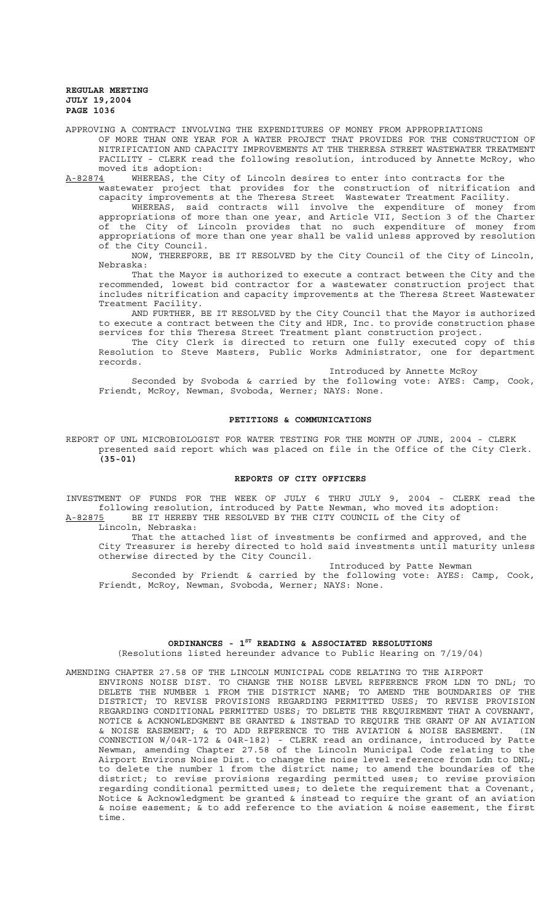APPROVING A CONTRACT INVOLVING THE EXPENDITURES OF MONEY FROM APPROPRIATIONS OF MORE THAN ONE YEAR FOR A WATER PROJECT THAT PROVIDES FOR THE CONSTRUCTION OF NITRIFICATION AND CAPACITY IMPROVEMENTS AT THE THERESA STREET WASTEWATER TREATMENT FACILITY - CLERK read the following resolution, introduced by Annette McRoy, who moved its adoption:

A-82874 WHEREAS, the City of Lincoln desires to enter into contracts for the

wastewater project that provides for the construction of nitrification and capacity improvements at the Theresa Street Wastewater Treatment Facility.

WHEREAS, said contracts will involve the expenditure of money from appropriations of more than one year, and Article VII, Section 3 of the Charter of the City of Lincoln provides that no such expenditure of money from appropriations of more than one year shall be valid unless approved by resolution of the City Council.

NOW, THEREFORE, BE IT RESOLVED by the City Council of the City of Lincoln, Nebraska:

That the Mayor is authorized to execute a contract between the City and the recommended, lowest bid contractor for a wastewater construction project that includes nitrification and capacity improvements at the Theresa Street Wastewater Treatment Facility.

AND FURTHER, BE IT RESOLVED by the City Council that the Mayor is authorized to execute a contract between the City and HDR, Inc. to provide construction phase services for this Theresa Street Treatment plant construction project.

The City Clerk is directed to return one fully executed copy of this Resolution to Steve Masters, Public Works Administrator, one for department records.

Introduced by Annette McRoy

Seconded by Svoboda & carried by the following vote: AYES: Camp, Cook, Friendt, McRoy, Newman, Svoboda, Werner; NAYS: None.

### **PETITIONS & COMMUNICATIONS**

REPORT OF UNL MICROBIOLOGIST FOR WATER TESTING FOR THE MONTH OF JUNE, 2004 - CLERK presented said report which was placed on file in the Office of the City Clerk. **(35-01)**

#### **REPORTS OF CITY OFFICERS**

INVESTMENT OF FUNDS FOR THE WEEK OF JULY 6 THRU JULY 9, 2004 - CLERK read the following resolution, introduced by Patte Newman, who moved its adoption: A-82875 BE IT HEREBY THE RESOLVED BY THE CITY COUNCIL of the City of

Lincoln, Nebraska:

That the attached list of investments be confirmed and approved, and the City Treasurer is hereby directed to hold said investments until maturity unless otherwise directed by the City Council.

Introduced by Patte Newman

Seconded by Friendt & carried by the following vote: AYES: Camp, Cook, Friendt, McRoy, Newman, Svoboda, Werner; NAYS: None.

# **ORDINANCES - 1ST READING & ASSOCIATED RESOLUTIONS** (Resolutions listed hereunder advance to Public Hearing on 7/19/04)

AMENDING CHAPTER 27.58 OF THE LINCOLN MUNICIPAL CODE RELATING TO THE AIRPORT

ENVIRONS NOISE DIST. TO CHANGE THE NOISE LEVEL REFERENCE FROM LDN TO DNL; TO DELETE THE NUMBER 1 FROM THE DISTRICT NAME; TO AMEND THE BOUNDARIES OF THE DISTRICT; TO REVISE PROVISIONS REGARDING PERMITTED USES; TO REVISE PROVISION REGARDING CONDITIONAL PERMITTED USES; TO DELETE THE REQUIREMENT THAT A COVENANT, NOTICE & ACKNOWLEDGMENT BE GRANTED & INSTEAD TO REQUIRE THE GRANT OF AN AVIATION & NOISE EASEMENT; & TO ADD REFERENCE TO THE AVIATION & NOISE EASEMENT. (IN CONNECTION W/04R-172 & 04R-182) - CLERK read an ordinance, introduced by Patte Newman, amending Chapter 27.58 of the Lincoln Municipal Code relating to the Airport Environs Noise Dist. to change the noise level reference from Ldn to DNL; to delete the number 1 from the district name; to amend the boundaries of the district; to revise provisions regarding permitted uses; to revise provision regarding conditional permitted uses; to delete the requirement that a Covenant, Notice & Acknowledgment be granted & instead to require the grant of an aviation & noise easement; & to add reference to the aviation & noise easement, the first time.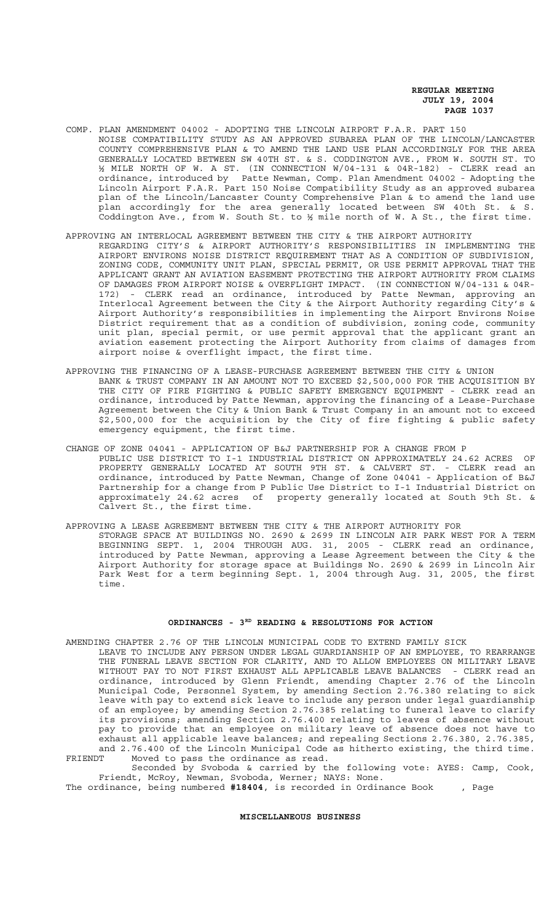COMP. PLAN AMENDMENT 04002 - ADOPTING THE LINCOLN AIRPORT F.A.R. PART 150 NOISE COMPATIBILITY STUDY AS AN APPROVED SUBAREA PLAN OF THE LINCOLN/LANCASTER COUNTY COMPREHENSIVE PLAN & TO AMEND THE LAND USE PLAN ACCORDINGLY FOR THE AREA GENERALLY LOCATED BETWEEN SW 40TH ST. & S. CODDINGTON AVE., FROM W. SOUTH ST. TO ½ MILE NORTH OF W. A ST. (IN CONNECTION W/04-131 & 04R-182) - CLERK read an ordinance, introduced by Patte Newman, Comp. Plan Amendment 04002 - Adopting the Lincoln Airport F.A.R. Part 150 Noise Compatibility Study as an approved subarea plan of the Lincoln/Lancaster County Comprehensive Plan & to amend the land use plan accordingly for the area generally located between SW 40th St. & S. Coddington Ave., from W. South St. to ½ mile north of W. A St., the first time.

## APPROVING AN INTERLOCAL AGREEMENT BETWEEN THE CITY & THE AIRPORT AUTHORITY REGARDING CITY'S & AIRPORT AUTHORITY'S RESPONSIBILITIES IN IMPLEMENTING THE AIRPORT ENVIRONS NOISE DISTRICT REQUIREMENT THAT AS A CONDITION OF SUBDIVISION, ZONING CODE, COMMUNITY UNIT PLAN, SPECIAL PERMIT, OR USE PERMIT APPROVAL THAT THE APPLICANT GRANT AN AVIATION EASEMENT PROTECTING THE AIRPORT AUTHORITY FROM CLAIMS

- OF DAMAGES FROM AIRPORT NOISE & OVERFLIGHT IMPACT. (IN CONNECTION W/04-131 & 04R-172) - CLERK read an ordinance, introduced by Patte Newman, approving an Interlocal Agreement between the City & the Airport Authority regarding City's & Airport Authority's responsibilities in implementing the Airport Environs Noise District requirement that as a condition of subdivision, zoning code, community unit plan, special permit, or use permit approval that the applicant grant an aviation easement protecting the Airport Authority from claims of damages from airport noise & overflight impact, the first time.
- APPROVING THE FINANCING OF A LEASE-PURCHASE AGREEMENT BETWEEN THE CITY & UNION BANK & TRUST COMPANY IN AN AMOUNT NOT TO EXCEED \$2,500,000 FOR THE ACQUISITION BY THE CITY OF FIRE FIGHTING & PUBLIC SAFETY EMERGENCY EQUIPMENT - CLERK read an ordinance, introduced by Patte Newman, approving the financing of a Lease-Purchase Agreement between the City & Union Bank & Trust Company in an amount not to exceed \$2,500,000 for the acquisition by the City of fire fighting & public safety emergency equipment, the first time.
- CHANGE OF ZONE 04041 APPLICATION OF B&J PARTNERSHIP FOR A CHANGE FROM P PUBLIC USE DISTRICT TO I-1 INDUSTRIAL DISTRICT ON APPROXIMATELY 24.62 ACRES OF PROPERTY GENERALLY LOCATED AT SOUTH 9TH ST. & CALVERT ST. - CLERK read an ordinance, introduced by Patte Newman, Change of Zone 04041 - Application of B&J Partnership for a change from P Public Use District to I-1 Industrial District on approximately 24.62 acres of property generally located at South 9th St. & Calvert St., the first time.
- APPROVING A LEASE AGREEMENT BETWEEN THE CITY & THE AIRPORT AUTHORITY FOR STORAGE SPACE AT BUILDINGS NO. 2690 & 2699 IN LINCOLN AIR PARK WEST FOR A TERM BEGINNING SEPT. 1, 2004 THROUGH AUG. 31, 2005 - CLERK read an ordinance, introduced by Patte Newman, approving a Lease Agreement between the City & the Airport Authority for storage space at Buildings No. 2690 & 2699 in Lincoln Air Park West for a term beginning Sept. 1, 2004 through Aug. 31, 2005, the first time.

# ORDINANCES - 3<sup>RD</sup> READING & RESOLUTIONS FOR ACTION

AMENDING CHAPTER 2.76 OF THE LINCOLN MUNICIPAL CODE TO EXTEND FAMILY SICK LEAVE TO INCLUDE ANY PERSON UNDER LEGAL GUARDIANSHIP OF AN EMPLOYEE, TO REARRANGE THE FUNERAL LEAVE SECTION FOR CLARITY, AND TO ALLOW EMPLOYEES ON MILITARY LEAVE WITHOUT PAY TO NOT FIRST EXHAUST ALL APPLICABLE LEAVE BALANCES - CLERK read an ordinance, introduced by Glenn Friendt, amending Chapter 2.76 of the Lincoln Municipal Code, Personnel System, by amending Section 2.76.380 relating to sick leave with pay to extend sick leave to include any person under legal guardianship of an employee; by amending Section 2.76.385 relating to funeral leave to clarify its provisions; amending Section 2.76.400 relating to leaves of absence without pay to provide that an employee on military leave of absence does not have to exhaust all applicable leave balances; and repealing Sections 2.76.380, 2.76.385, and 2.76.400 of the Lincoln Municipal Code as hitherto existing, the third time. FRIENDT Moved to pass the ordinance as read.

Seconded by Svoboda & carried by the following vote: AYES: Camp, Cook, Friendt, McRoy, Newman, Svoboda, Werner; NAYS: None.

The ordinance, being numbered **#18404**, is recorded in Ordinance Book , Page

# **MISCELLANEOUS BUSINESS**